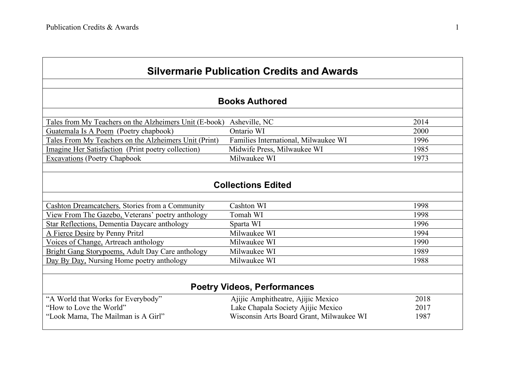| <b>Silvermarie Publication Credits and Awards</b>       |                                          |      |  |  |
|---------------------------------------------------------|------------------------------------------|------|--|--|
|                                                         |                                          |      |  |  |
| <b>Books Authored</b>                                   |                                          |      |  |  |
| Tales from My Teachers on the Alzheimers Unit (E-book)  | Asheville, NC                            | 2014 |  |  |
| Guatemala Is A Poem (Poetry chapbook)                   | Ontario WI                               | 2000 |  |  |
| Tales From My Teachers on the Alzheimers Unit (Print)   | Families International, Milwaukee WI     | 1996 |  |  |
| Imagine Her Satisfaction (Print poetry collection)      | Midwife Press, Milwaukee WI              | 1985 |  |  |
| <b>Excavations</b> (Poetry Chapbook                     | Milwaukee WI                             | 1973 |  |  |
|                                                         |                                          |      |  |  |
|                                                         | <b>Collections Edited</b>                |      |  |  |
|                                                         |                                          |      |  |  |
| Cashton Dreamcatchers, Stories from a Community         | Cashton WI                               | 1998 |  |  |
| View From The Gazebo, Veterans' poetry anthology        | Tomah WI                                 | 1998 |  |  |
| <b>Star Reflections, Dementia Daycare anthology</b>     | Sparta WI                                | 1996 |  |  |
| A Fierce Desire by Penny Pritzl                         | Milwaukee WI                             | 1994 |  |  |
| Voices of Change, Artreach anthology                    | Milwaukee WI                             | 1990 |  |  |
| <b>Bright Gang Storypoems, Adult Day Care anthology</b> | Milwaukee WI                             | 1989 |  |  |
| Day By Day, Nursing Home poetry anthology               | Milwaukee WI                             | 1988 |  |  |
|                                                         |                                          |      |  |  |
| <b>Poetry Videos, Performances</b>                      |                                          |      |  |  |
| "A World that Works for Everybody"                      | Ajijic Amphitheatre, Ajijic Mexico       | 2018 |  |  |
| "How to Love the World"                                 | Lake Chapala Society Ajijic Mexico       | 2017 |  |  |
| "Look Mama, The Mailman is A Girl"                      | Wisconsin Arts Board Grant, Milwaukee WI | 1987 |  |  |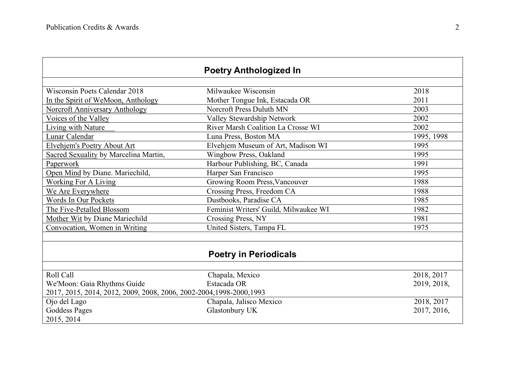|                                                                      | <b>Poetry Anthologized In</b>         |             |  |
|----------------------------------------------------------------------|---------------------------------------|-------------|--|
|                                                                      |                                       |             |  |
| Wisconsin Poets Calendar 2018                                        | Milwaukee Wisconsin                   | 2018        |  |
| In the Spirit of WeMoon, Anthology                                   | Mother Tongue Ink, Estacada OR        | 2011        |  |
| <b>Norcroft Anniversary Anthology</b>                                | Norcroft Press Duluth MN              | 2003        |  |
| Voices of the Valley                                                 | Valley Stewardship Network            | 2002        |  |
| Living with Nature                                                   | River Marsh Coalition La Crosse WI    | 2002        |  |
| Lunar Calendar                                                       | Luna Press, Boston MA                 | 1995, 1998  |  |
| <b>Elvehjem's Poetry About Art</b>                                   | Elvehjem Museum of Art, Madison WI    | 1995        |  |
| Sacred Sexuality by Marcelina Martin,                                | Wingbow Press, Oakland                | 1995        |  |
| Paperwork                                                            | Harbour Publishing, BC, Canada        | 1991        |  |
| Open Mind by Diane. Mariechild,                                      | Harper San Francisco                  | 1995        |  |
| <b>Working For A Living</b>                                          | Growing Room Press, Vancouver         | 1988        |  |
| We Are Everywhere                                                    | Crossing Press, Freedom CA            | 1988        |  |
| Words In Our Pockets                                                 | Dustbooks, Paradise CA                | 1985        |  |
| The Five-Petalled Blossom                                            | Feminist Writers' Guild, Milwaukee WI | 1982        |  |
| Mother Wit by Diane Mariechild                                       | Crossing Press, NY                    | 1981        |  |
| Convocation, Women in Writing                                        | United Sisters, Tampa FL              | 1975        |  |
|                                                                      |                                       |             |  |
|                                                                      | <b>Poetry in Periodicals</b>          |             |  |
|                                                                      |                                       |             |  |
| Roll Call                                                            | Chapala, Mexico                       | 2018, 2017  |  |
| We'Moon: Gaia Rhythms Guide                                          | Estacada OR                           | 2019, 2018, |  |
| 2017, 2015, 2014, 2012, 2009, 2008, 2006, 2002-2004, 1998-2000, 1993 |                                       |             |  |
| Ojo del Lago                                                         | Chapala, Jalisco Mexico               | 2018, 2017  |  |
| <b>Goddess Pages</b>                                                 | Glastonbury UK                        | 2017, 2016, |  |
| 2015, 2014                                                           |                                       |             |  |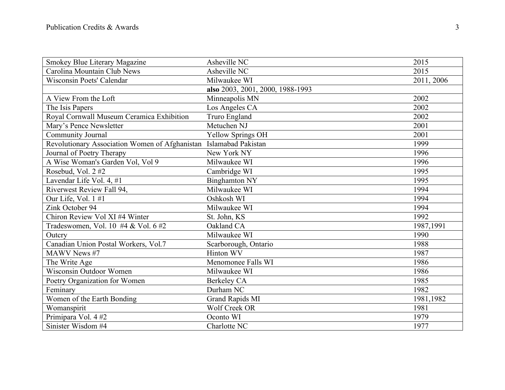| Smokey Blue Literary Magazine                                     | Asheville NC                     | 2015       |
|-------------------------------------------------------------------|----------------------------------|------------|
| Carolina Mountain Club News                                       | Asheville NC                     | 2015       |
| Wisconsin Poets' Calendar                                         | Milwaukee WI                     | 2011, 2006 |
|                                                                   | also 2003, 2001, 2000, 1988-1993 |            |
| A View From the Loft                                              | Minneapolis MN                   | 2002       |
| The Isis Papers                                                   | Los Angeles CA                   | 2002       |
| Royal Cornwall Museum Ceramica Exhibition                         | Truro England                    | 2002       |
| Mary's Pence Newsletter                                           | Metuchen NJ                      | 2001       |
| <b>Community Journal</b>                                          | <b>Yellow Springs OH</b>         | 2001       |
| Revolutionary Association Women of Afghanistan Islamabad Pakistan |                                  | 1999       |
| Journal of Poetry Therapy                                         | New York NY                      | 1996       |
| A Wise Woman's Garden Vol, Vol 9                                  | Milwaukee WI                     | 1996       |
| Rosebud, Vol. 2#2                                                 | Cambridge WI                     | 1995       |
| Lavendar Life Vol. 4, #1                                          | <b>Binghamton NY</b>             | 1995       |
| Riverwest Review Fall 94,                                         | Milwaukee WI                     | 1994       |
| Our Life, Vol. 1#1                                                | Oshkosh WI                       | 1994       |
| Zink October 94                                                   | Milwaukee WI                     | 1994       |
| Chiron Review Vol XI #4 Winter                                    | St. John, KS                     | 1992       |
| Tradeswomen, Vol. 10 #4 & Vol. 6 #2                               | Oakland CA                       | 1987,1991  |
| Outcry                                                            | Milwaukee WI                     | 1990       |
| Canadian Union Postal Workers, Vol.7                              | Scarborough, Ontario             | 1988       |
| MAWV News #7                                                      | Hinton WV                        | 1987       |
| The Write Age                                                     | Menomonee Falls WI               | 1986       |
| Wisconsin Outdoor Women                                           | Milwaukee WI                     | 1986       |
| Poetry Organization for Women                                     | Berkeley CA                      | 1985       |
| Feminary                                                          | Durham NC                        | 1982       |
| Women of the Earth Bonding                                        | <b>Grand Rapids MI</b>           | 1981,1982  |
| Womanspirit                                                       | <b>Wolf Creek OR</b>             | 1981       |
| Primipara Vol. 4#2                                                | Oconto WI                        | 1979       |
| Sinister Wisdom #4                                                | Charlotte NC                     | 1977       |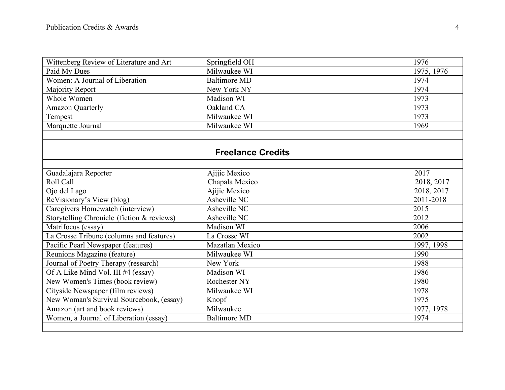| Wittenberg Review of Literature and Art          | Springfield OH           | 1976       |
|--------------------------------------------------|--------------------------|------------|
| Paid My Dues                                     | Milwaukee WI             | 1975, 1976 |
| Women: A Journal of Liberation                   | <b>Baltimore MD</b>      | 1974       |
| Majority Report                                  | New York NY              | 1974       |
| <b>Whole Women</b>                               | Madison WI               | 1973       |
| <b>Amazon Quarterly</b>                          | Oakland CA               | 1973       |
| Tempest                                          | Milwaukee WI             | 1973       |
| Marquette Journal                                | Milwaukee WI             | 1969       |
|                                                  |                          |            |
|                                                  |                          |            |
|                                                  | <b>Freelance Credits</b> |            |
|                                                  |                          |            |
| Guadalajara Reporter                             | Ajijic Mexico            | 2017       |
| Roll Call                                        | Chapala Mexico           | 2018, 2017 |
| Ojo del Lago                                     | Ajijic Mexico            | 2018, 2017 |
| ReVisionary's View (blog)                        | Asheville NC             | 2011-2018  |
| Caregivers Homewatch (interview)                 | Asheville NC             | 2015       |
| Storytelling Chronicle (fiction & reviews)       | Asheville NC             | 2012       |
| Matrifocus (essay)                               | Madison WI               | 2006       |
| La Crosse Tribune (columns and features)         | La Crosse WI             | 2002       |
| Pacific Pearl Newspaper (features)               | Mazatlan Mexico          | 1997, 1998 |
| Reunions Magazine (feature)                      | Milwaukee WI             | 1990       |
| Journal of Poetry Therapy (research)             | New York                 | 1988       |
| Of A Like Mind Vol. III #4 (essay)               | Madison WI               | 1986       |
| New Women's Times (book review)                  | Rochester NY             | 1980       |
| Cityside Newspaper (film reviews)                | Milwaukee WI             | 1978       |
| <b>New Woman's Survival Sourcebook</b> , (essay) | Knopf                    | 1975       |
| Amazon (art and book reviews)                    | Milwaukee                | 1977, 1978 |
| Women, a Journal of Liberation (essay)           | <b>Baltimore MD</b>      | 1974       |
|                                                  |                          |            |